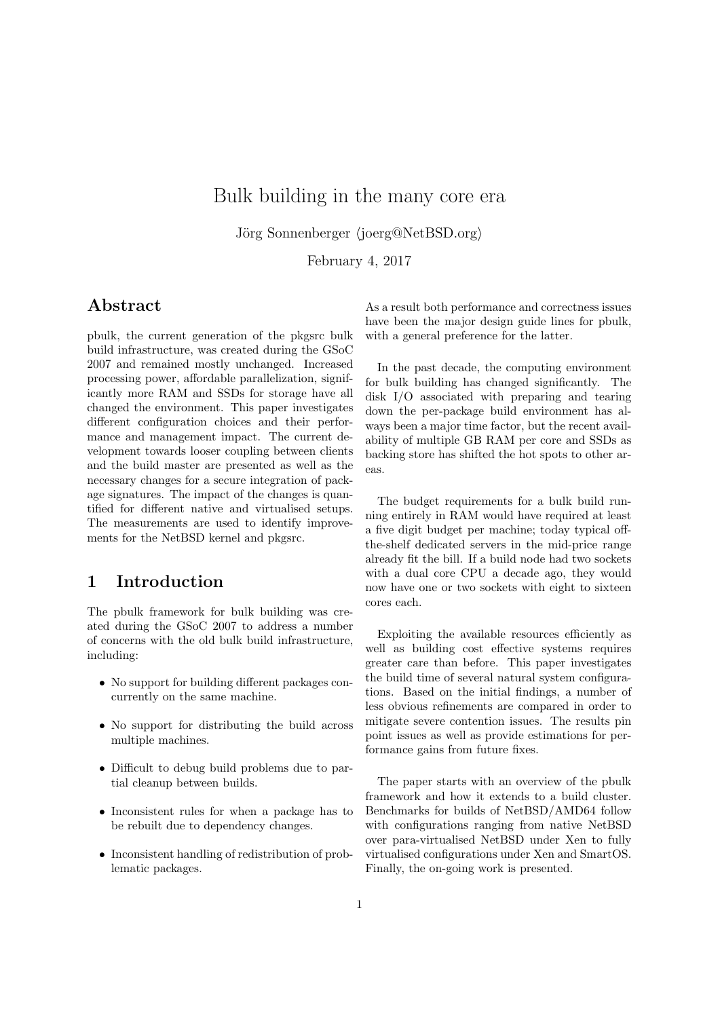# Bulk building in the many core era

Jörg Sonnenberger  $\langle$ *joerg*@NetBSD.org $\rangle$ 

February 4, 2017

# **Abstract**

pbulk, the current generation of the pkgsrc bulk build infrastructure, was created during the GSoC 2007 and remained mostly unchanged. Increased processing power, affordable parallelization, significantly more RAM and SSDs for storage have all changed the environment. This paper investigates different configuration choices and their performance and management impact. The current development towards looser coupling between clients and the build master are presented as well as the necessary changes for a secure integration of package signatures. The impact of the changes is quantified for different native and virtualised setups. The measurements are used to identify improvements for the NetBSD kernel and pkgsrc.

# **1 Introduction**

The pbulk framework for bulk building was created during the GSoC 2007 to address a number of concerns with the old bulk build infrastructure, including:

- No support for building different packages concurrently on the same machine.
- No support for distributing the build across multiple machines.
- *•* Difficult to debug build problems due to partial cleanup between builds.
- *•* Inconsistent rules for when a package has to be rebuilt due to dependency changes.
- *•* Inconsistent handling of redistribution of problematic packages.

As a result both performance and correctness issues have been the major design guide lines for pbulk, with a general preference for the latter.

In the past decade, the computing environment for bulk building has changed significantly. The disk I/O associated with preparing and tearing down the per-package build environment has always been a major time factor, but the recent availability of multiple GB RAM per core and SSDs as backing store has shifted the hot spots to other areas.

The budget requirements for a bulk build running entirely in RAM would have required at least a five digit budget per machine; today typical offthe-shelf dedicated servers in the mid-price range already fit the bill. If a build node had two sockets with a dual core CPU a decade ago, they would now have one or two sockets with eight to sixteen cores each.

Exploiting the available resources efficiently as well as building cost effective systems requires greater care than before. This paper investigates the build time of several natural system configurations. Based on the initial findings, a number of less obvious refinements are compared in order to mitigate severe contention issues. The results pin point issues as well as provide estimations for performance gains from future fixes.

The paper starts with an overview of the pbulk framework and how it extends to a build cluster. Benchmarks for builds of NetBSD/AMD64 follow with configurations ranging from native NetBSD over para-virtualised NetBSD under Xen to fully virtualised configurations under Xen and SmartOS. Finally, the on-going work is presented.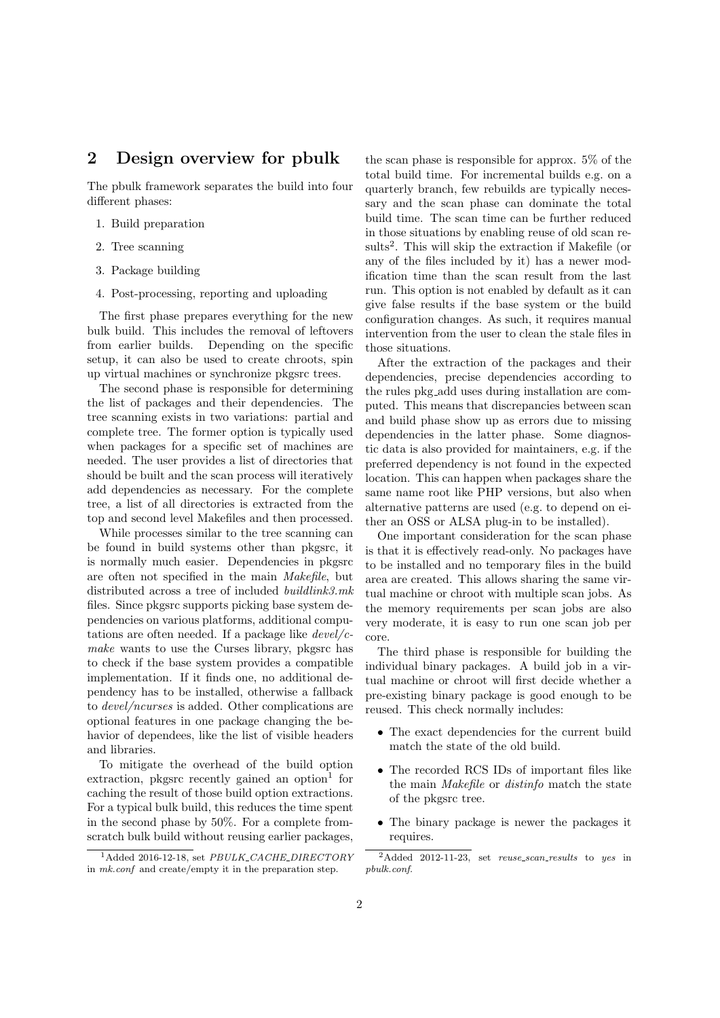# **2 Design overview for pbulk**

The pbulk framework separates the build into four different phases:

- 1. Build preparation
- 2. Tree scanning
- 3. Package building
- 4. Post-processing, reporting and uploading

The first phase prepares everything for the new bulk build. This includes the removal of leftovers from earlier builds. Depending on the specific setup, it can also be used to create chroots, spin up virtual machines or synchronize pkgsrc trees.

The second phase is responsible for determining the list of packages and their dependencies. The tree scanning exists in two variations: partial and complete tree. The former option is typically used when packages for a specific set of machines are needed. The user provides a list of directories that should be built and the scan process will iteratively add dependencies as necessary. For the complete tree, a list of all directories is extracted from the top and second level Makefiles and then processed.

While processes similar to the tree scanning can be found in build systems other than pkgsrc, it is normally much easier. Dependencies in pkgsrc are often not specified in the main *Makefile*, but distributed across a tree of included *buildlink3.mk* files. Since pkgsrc supports picking base system dependencies on various platforms, additional computations are often needed. If a package like *devel/cmake* wants to use the Curses library, pkgsrc has to check if the base system provides a compatible implementation. If it finds one, no additional dependency has to be installed, otherwise a fallback to *devel/ncurses* is added. Other complications are optional features in one package changing the behavior of dependees, like the list of visible headers and libraries.

To mitigate the overhead of the build option  $extraction$ , pkgsrc recently gained an option<sup>1</sup> for caching the result of those build option extractions. For a typical bulk build, this reduces the time spent in the second phase by 50%. For a complete fromscratch bulk build without reusing earlier packages,

the scan phase is responsible for approx. 5% of the total build time. For incremental builds e.g. on a quarterly branch, few rebuilds are typically necessary and the scan phase can dominate the total build time. The scan time can be further reduced in those situations by enabling reuse of old scan results<sup>2</sup>. This will skip the extraction if Makefile (or any of the files included by it) has a newer modification time than the scan result from the last run. This option is not enabled by default as it can give false results if the base system or the build configuration changes. As such, it requires manual intervention from the user to clean the stale files in those situations.

After the extraction of the packages and their dependencies, precise dependencies according to the rules pkg add uses during installation are computed. This means that discrepancies between scan and build phase show up as errors due to missing dependencies in the latter phase. Some diagnostic data is also provided for maintainers, e.g. if the preferred dependency is not found in the expected location. This can happen when packages share the same name root like PHP versions, but also when alternative patterns are used (e.g. to depend on either an OSS or ALSA plug-in to be installed).

One important consideration for the scan phase is that it is effectively read-only. No packages have to be installed and no temporary files in the build area are created. This allows sharing the same virtual machine or chroot with multiple scan jobs. As the memory requirements per scan jobs are also very moderate, it is easy to run one scan job per core.

The third phase is responsible for building the individual binary packages. A build job in a virtual machine or chroot will first decide whether a pre-existing binary package is good enough to be reused. This check normally includes:

- *•* The exact dependencies for the current build match the state of the old build.
- *•* The recorded RCS IDs of important files like the main *Makefile* or *distinfo* match the state of the pkgsrc tree.
- *•* The binary package is newer the packages it requires.

<sup>1</sup>Added 2016-12-18, set *PBULK CACHE DIRECTORY* in *mk.conf* and create/empty it in the preparation step.

<sup>2</sup>Added 2012-11-23, set *reuse scan results* to *yes* in *pbulk.conf*.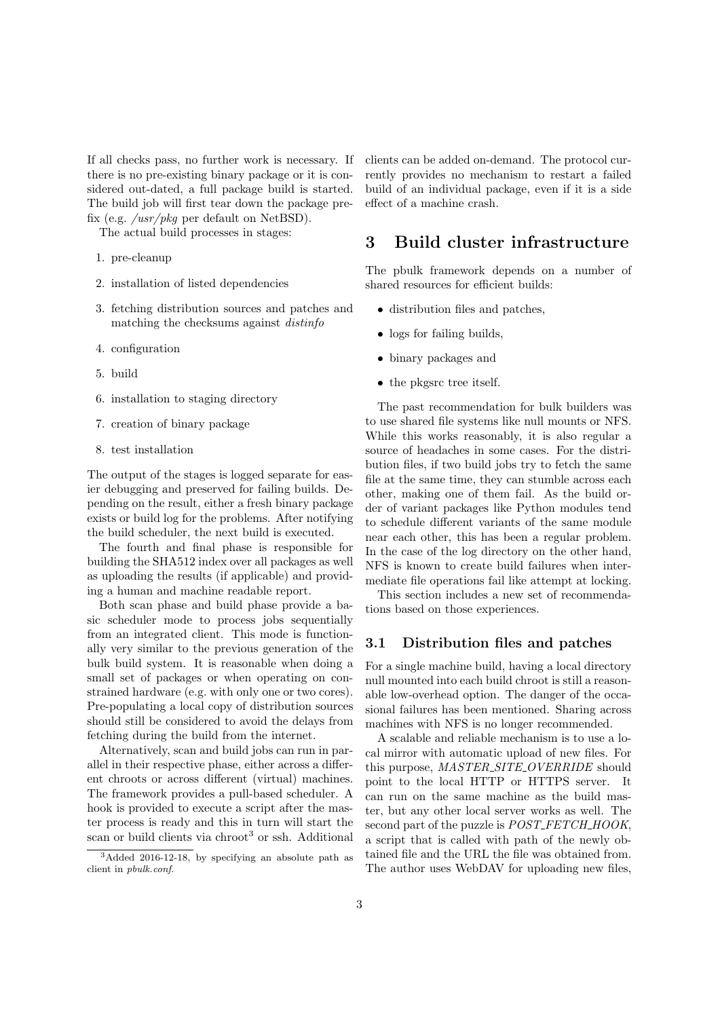If all checks pass, no further work is necessary. If there is no pre-existing binary package or it is considered out-dated, a full package build is started. The build job will first tear down the package prefix (e.g. */usr/pkg* per default on NetBSD).

The actual build processes in stages:

- 1. pre-cleanup
- 2. installation of listed dependencies
- 3. fetching distribution sources and patches and matching the checksums against *distinfo*
- 4. configuration
- 5. build
- 6. installation to staging directory
- 7. creation of binary package
- 8. test installation

The output of the stages is logged separate for easier debugging and preserved for failing builds. Depending on the result, either a fresh binary package exists or build log for the problems. After notifying the build scheduler, the next build is executed.

The fourth and final phase is responsible for building the SHA512 index over all packages as well as uploading the results (if applicable) and providing a human and machine readable report.

Both scan phase and build phase provide a basic scheduler mode to process jobs sequentially from an integrated client. This mode is functionally very similar to the previous generation of the bulk build system. It is reasonable when doing a small set of packages or when operating on constrained hardware (e.g. with only one or two cores). Pre-populating a local copy of distribution sources should still be considered to avoid the delays from fetching during the build from the internet.

Alternatively, scan and build jobs can run in parallel in their respective phase, either across a different chroots or across different (virtual) machines. The framework provides a pull-based scheduler. A hook is provided to execute a script after the master process is ready and this in turn will start the scan or build clients via chroot<sup>3</sup> or ssh. Additional

clients can be added on-demand. The protocol currently provides no mechanism to restart a failed build of an individual package, even if it is a side effect of a machine crash.

# **3 Build cluster infrastructure**

The pbulk framework depends on a number of shared resources for efficient builds:

- *•* distribution files and patches,
- logs for failing builds,
- *•* binary packages and
- *•* the pkgsrc tree itself.

The past recommendation for bulk builders was to use shared file systems like null mounts or NFS. While this works reasonably, it is also regular a source of headaches in some cases. For the distribution files, if two build jobs try to fetch the same file at the same time, they can stumble across each other, making one of them fail. As the build order of variant packages like Python modules tend to schedule different variants of the same module near each other, this has been a regular problem. In the case of the log directory on the other hand, NFS is known to create build failures when intermediate file operations fail like attempt at locking.

This section includes a new set of recommendations based on those experiences.

#### **3.1 Distribution files and patches**

For a single machine build, having a local directory null mounted into each build chroot is still a reasonable low-overhead option. The danger of the occasional failures has been mentioned. Sharing across machines with NFS is no longer recommended.

A scalable and reliable mechanism is to use a local mirror with automatic upload of new files. For this purpose, *MASTER SITE OVERRIDE* should point to the local HTTP or HTTPS server. It can run on the same machine as the build master, but any other local server works as well. The second part of the puzzle is *POST FETCH HOOK*, a script that is called with path of the newly obtained file and the URL the file was obtained from. The author uses WebDAV for uploading new files,

<sup>3</sup>Added 2016-12-18, by specifying an absolute path as client in *pbulk.conf*.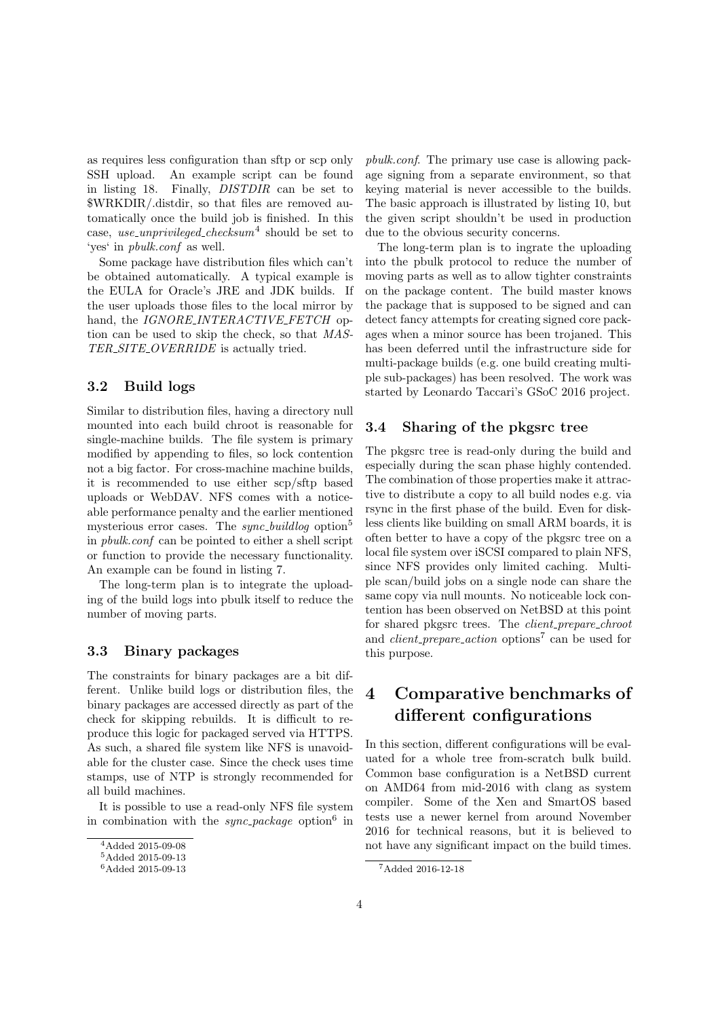as requires less configuration than sftp or scp only SSH upload. An example script can be found in listing 18. Finally, *DISTDIR* can be set to \$WRKDIR/.distdir, so that files are removed automatically once the build job is finished. In this case, *use unprivileged checksum*<sup>4</sup> should be set to 'yes' in *pbulk.conf* as well.

Some package have distribution files which can't be obtained automatically. A typical example is the EULA for Oracle's JRE and JDK builds. If the user uploads those files to the local mirror by hand, the *IGNORE\_INTERACTIVE\_FETCH* option can be used to skip the check, so that *MAS-TER SITE OVERRIDE* is actually tried.

### **3.2 Build logs**

Similar to distribution files, having a directory null mounted into each build chroot is reasonable for single-machine builds. The file system is primary modified by appending to files, so lock contention not a big factor. For cross-machine machine builds, it is recommended to use either scp/sftp based uploads or WebDAV. NFS comes with a noticeable performance penalty and the earlier mentioned mysterious error cases. The *sync buildlog* option<sup>5</sup> in *pbulk.conf* can be pointed to either a shell script or function to provide the necessary functionality. An example can be found in listing 7.

The long-term plan is to integrate the uploading of the build logs into pbulk itself to reduce the number of moving parts.

#### **3.3 Binary packages**

The constraints for binary packages are a bit different. Unlike build logs or distribution files, the binary packages are accessed directly as part of the check for skipping rebuilds. It is difficult to reproduce this logic for packaged served via HTTPS. As such, a shared file system like NFS is unavoidable for the cluster case. Since the check uses time stamps, use of NTP is strongly recommended for all build machines.

It is possible to use a read-only NFS file system in combination with the *sync\_package* option<sup>6</sup> in *pbulk.conf*. The primary use case is allowing package signing from a separate environment, so that keying material is never accessible to the builds. The basic approach is illustrated by listing 10, but the given script shouldn't be used in production due to the obvious security concerns.

The long-term plan is to ingrate the uploading into the pbulk protocol to reduce the number of moving parts as well as to allow tighter constraints on the package content. The build master knows the package that is supposed to be signed and can detect fancy attempts for creating signed core packages when a minor source has been trojaned. This has been deferred until the infrastructure side for multi-package builds (e.g. one build creating multiple sub-packages) has been resolved. The work was started by Leonardo Taccari's GSoC 2016 project.

#### **3.4 Sharing of the pkgsrc tree**

The pkgsrc tree is read-only during the build and especially during the scan phase highly contended. The combination of those properties make it attractive to distribute a copy to all build nodes e.g. via rsync in the first phase of the build. Even for diskless clients like building on small ARM boards, it is often better to have a copy of the pkgsrc tree on a local file system over iSCSI compared to plain NFS, since NFS provides only limited caching. Multiple scan/build jobs on a single node can share the same copy via null mounts. No noticeable lock contention has been observed on NetBSD at this point for shared pkgsrc trees. The *client prepare chroot* and *client prepare action* options<sup>7</sup> can be used for this purpose.

# **4 Comparative benchmarks of different configurations**

In this section, different configurations will be evaluated for a whole tree from-scratch bulk build. Common base configuration is a NetBSD current on AMD64 from mid-2016 with clang as system compiler. Some of the Xen and SmartOS based tests use a newer kernel from around November 2016 for technical reasons, but it is believed to not have any significant impact on the build times.

<sup>4</sup>Added 2015-09-08

 $^5\mbox{Added}$ 2015-09-13

<sup>6</sup>Added 2015-09-13

<sup>7</sup>Added 2016-12-18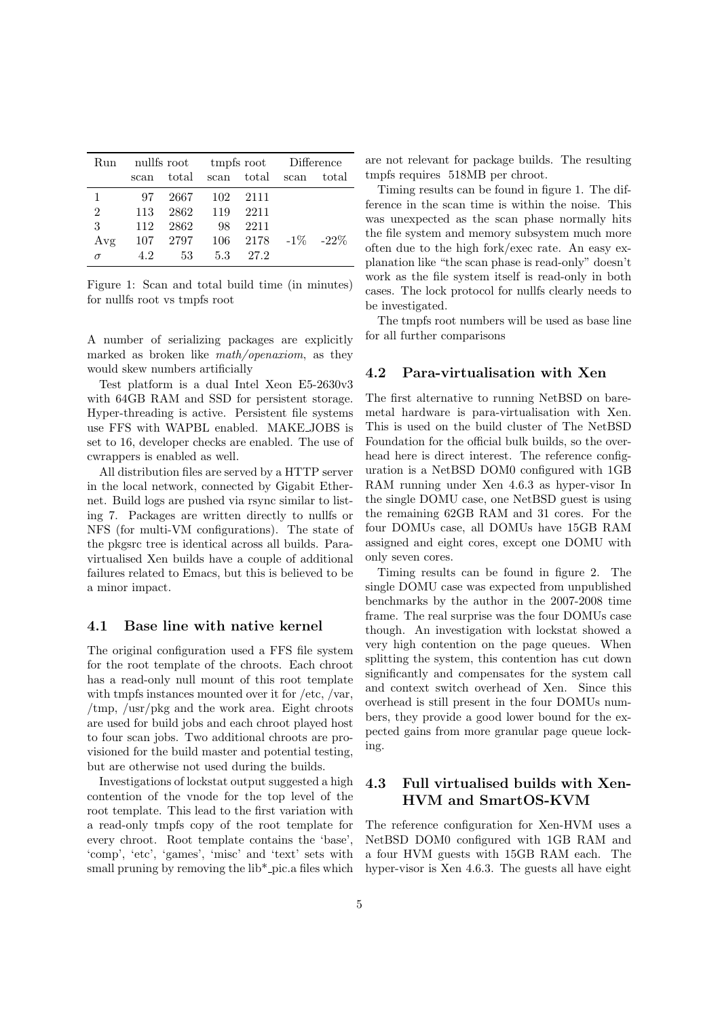| Run            | nullfs root tmpfs root Difference |          |               |                                  |  |  |  |
|----------------|-----------------------------------|----------|---------------|----------------------------------|--|--|--|
|                |                                   |          |               | scan total scan total scan total |  |  |  |
| 1              | 97.                               |          | 2667 102 2111 |                                  |  |  |  |
| $\overline{2}$ | 113                               | 2862 119 |               | 2211                             |  |  |  |
| 3              | 112                               | 2862     | 98            | 2211                             |  |  |  |
| Avg            | 107                               |          |               | $2797$ 106 2178 -1% -22%         |  |  |  |
| $\sigma$       | 4.2                               | -53      |               | 5.3 27.2                         |  |  |  |

Figure 1: Scan and total build time (in minutes) for nullfs root vs tmpfs root

A number of serializing packages are explicitly marked as broken like *math/openaxiom*, as they would skew numbers artificially

Test platform is a dual Intel Xeon E5-2630v3 with 64GB RAM and SSD for persistent storage. Hyper-threading is active. Persistent file systems use FFS with WAPBL enabled. MAKE JOBS is set to 16, developer checks are enabled. The use of cwrappers is enabled as well.

All distribution files are served by a HTTP server in the local network, connected by Gigabit Ethernet. Build logs are pushed via rsync similar to listing 7. Packages are written directly to nullfs or NFS (for multi-VM configurations). The state of the pkgsrc tree is identical across all builds. Paravirtualised Xen builds have a couple of additional failures related to Emacs, but this is believed to be a minor impact.

#### **4.1 Base line with native kernel**

The original configuration used a FFS file system for the root template of the chroots. Each chroot has a read-only null mount of this root template with tmpfs instances mounted over it for /etc, /var, /tmp, /usr/pkg and the work area. Eight chroots are used for build jobs and each chroot played host to four scan jobs. Two additional chroots are provisioned for the build master and potential testing, but are otherwise not used during the builds.

Investigations of lockstat output suggested a high contention of the vnode for the top level of the root template. This lead to the first variation with a read-only tmpfs copy of the root template for every chroot. Root template contains the 'base', 'comp', 'etc', 'games', 'misc' and 'text' sets with small pruning by removing the  $lib*_{pic.a}$  files which are not relevant for package builds. The resulting tmpfs requires 518MB per chroot.

Timing results can be found in figure 1. The difference in the scan time is within the noise. This was unexpected as the scan phase normally hits the file system and memory subsystem much more often due to the high fork/exec rate. An easy explanation like "the scan phase is read-only" doesn't work as the file system itself is read-only in both cases. The lock protocol for nullfs clearly needs to be investigated.

The tmpfs root numbers will be used as base line for all further comparisons

#### **4.2 Para-virtualisation with Xen**

The first alternative to running NetBSD on baremetal hardware is para-virtualisation with Xen. This is used on the build cluster of The NetBSD Foundation for the official bulk builds, so the overhead here is direct interest. The reference configuration is a NetBSD DOM0 configured with 1GB RAM running under Xen 4.6.3 as hyper-visor In the single DOMU case, one NetBSD guest is using the remaining 62GB RAM and 31 cores. For the four DOMUs case, all DOMUs have 15GB RAM assigned and eight cores, except one DOMU with only seven cores.

Timing results can be found in figure 2. The single DOMU case was expected from unpublished benchmarks by the author in the 2007-2008 time frame. The real surprise was the four DOMUs case though. An investigation with lockstat showed a very high contention on the page queues. When splitting the system, this contention has cut down significantly and compensates for the system call and context switch overhead of Xen. Since this overhead is still present in the four DOMUs numbers, they provide a good lower bound for the expected gains from more granular page queue locking.

### **4.3 Full virtualised builds with Xen-HVM and SmartOS-KVM**

The reference configuration for Xen-HVM uses a NetBSD DOM0 configured with 1GB RAM and a four HVM guests with 15GB RAM each. The hyper-visor is Xen 4.6.3. The guests all have eight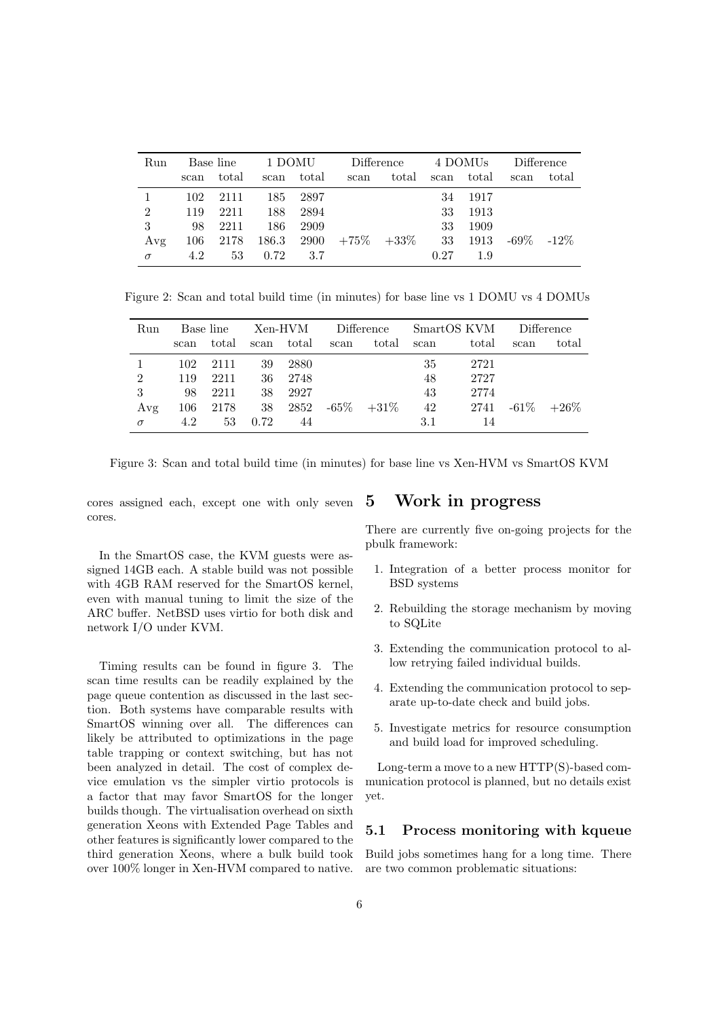| Run            | Base line |       | 1 DOMU |            | Difference      |                | 4 DOMUs |       | Difference |         |
|----------------|-----------|-------|--------|------------|-----------------|----------------|---------|-------|------------|---------|
|                | scan      | total | scan   | total      | scan            | $_{\rm total}$ | scan    | total | scan       | total   |
|                | 102       | 2111  | 185    | 2897       |                 |                | 34      | -1917 |            |         |
| $\overline{2}$ | 119       | 2211  | 188    | 2894       |                 |                | 33      | 1913  |            |         |
| 3              | 98        | 2211  | 186    | 2909       |                 |                | 33      | 1909  |            |         |
| Avg            | 106       | 2178  |        | 186.3 2900 | $+75\%$ $+33\%$ |                | -33     | 1913  | -69%       | $-12\%$ |
| $\sigma$       | 4.2       | 53    | 0.72   | 3.7        |                 |                | 0.27    | 1.9   |            |         |

Figure 2: Scan and total build time (in minutes) for base line vs 1 DOMU vs 4 DOMUs

| Run            | Base line |       | Xen-HVM |       | Difference |         | SmartOS KVM |       | Difference |         |
|----------------|-----------|-------|---------|-------|------------|---------|-------------|-------|------------|---------|
|                | scan      | total | scan    | total | scan       | total   | scan        | total | scan       | total   |
|                | 102       | 2111  | 39      | 2880  |            |         | 35          | 2721  |            |         |
| $\overline{2}$ | 119       | 2211  | 36      | 2748  |            |         | 48          | 2727  |            |         |
| 3              | 98        | 2211  | 38      | 2927  |            |         | 43          | 2774  |            |         |
| Avg            | 106       | 2178  | 38      | 2852  | $-65\%$    | $+31\%$ | 42          | 2741  | $-61\%$    | $+26\%$ |
| $\sigma$       | 4.2       | 53    | 0.72    | 44    |            |         | 3.1         | 14    |            |         |

Figure 3: Scan and total build time (in minutes) for base line vs Xen-HVM vs SmartOS KVM

cores assigned each, except one with only seven cores.

In the SmartOS case, the KVM guests were assigned 14GB each. A stable build was not possible with 4GB RAM reserved for the SmartOS kernel, even with manual tuning to limit the size of the ARC buffer. NetBSD uses virtio for both disk and network I/O under KVM.

Timing results can be found in figure 3. The scan time results can be readily explained by the page queue contention as discussed in the last section. Both systems have comparable results with SmartOS winning over all. The differences can likely be attributed to optimizations in the page table trapping or context switching, but has not been analyzed in detail. The cost of complex device emulation vs the simpler virtio protocols is a factor that may favor SmartOS for the longer builds though. The virtualisation overhead on sixth generation Xeons with Extended Page Tables and other features is significantly lower compared to the third generation Xeons, where a bulk build took over 100% longer in Xen-HVM compared to native.

### **5 Work in progress**

There are currently five on-going projects for the pbulk framework:

- 1. Integration of a better process monitor for BSD systems
- 2. Rebuilding the storage mechanism by moving to SQLite
- 3. Extending the communication protocol to allow retrying failed individual builds.
- 4. Extending the communication protocol to separate up-to-date check and build jobs.
- 5. Investigate metrics for resource consumption and build load for improved scheduling.

Long-term a move to a new HTTP(S)-based communication protocol is planned, but no details exist yet.

#### **5.1 Process monitoring with kqueue**

Build jobs sometimes hang for a long time. There are two common problematic situations: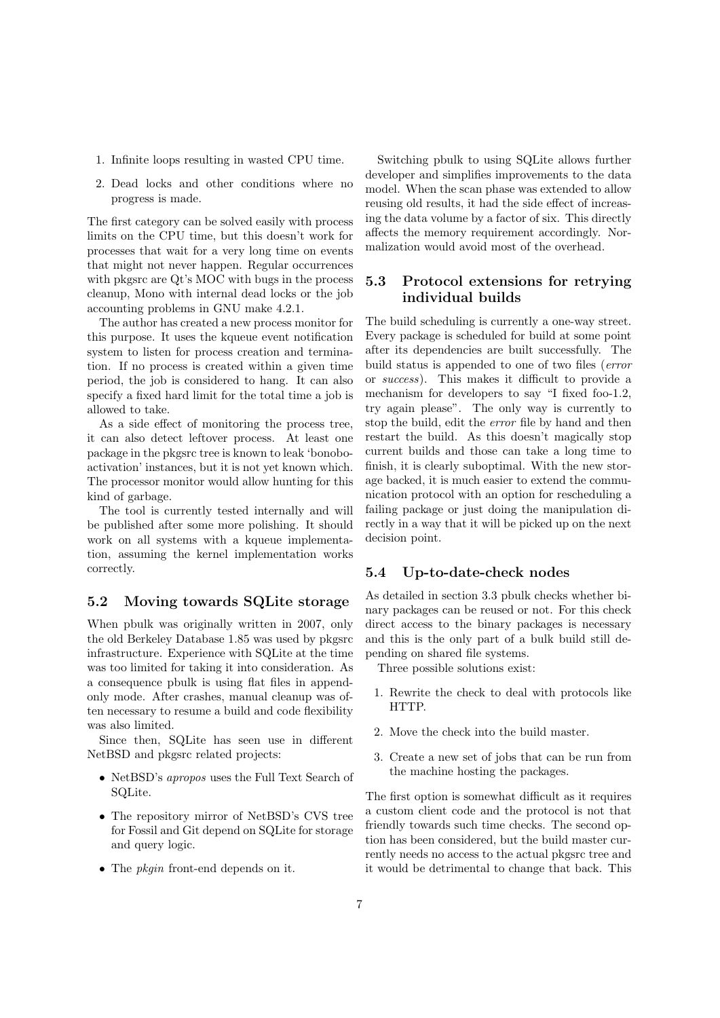- 1. Infinite loops resulting in wasted CPU time.
- 2. Dead locks and other conditions where no progress is made.

The first category can be solved easily with process limits on the CPU time, but this doesn't work for processes that wait for a very long time on events that might not never happen. Regular occurrences with pkgsrc are Qt's MOC with bugs in the process cleanup, Mono with internal dead locks or the job accounting problems in GNU make 4.2.1.

The author has created a new process monitor for this purpose. It uses the kqueue event notification system to listen for process creation and termination. If no process is created within a given time period, the job is considered to hang. It can also specify a fixed hard limit for the total time a job is allowed to take.

As a side effect of monitoring the process tree, it can also detect leftover process. At least one package in the pkgsrc tree is known to leak 'bonoboactivation' instances, but it is not yet known which. The processor monitor would allow hunting for this kind of garbage.

The tool is currently tested internally and will be published after some more polishing. It should work on all systems with a kqueue implementation, assuming the kernel implementation works correctly.

### **5.2 Moving towards SQLite storage**

When pbulk was originally written in 2007, only the old Berkeley Database 1.85 was used by pkgsrc infrastructure. Experience with SQLite at the time was too limited for taking it into consideration. As a consequence pbulk is using flat files in appendonly mode. After crashes, manual cleanup was often necessary to resume a build and code flexibility was also limited.

Since then, SQLite has seen use in different NetBSD and pkgsrc related projects:

- *•* NetBSD's *apropos* uses the Full Text Search of SQLite.
- *•* The repository mirror of NetBSD's CVS tree for Fossil and Git depend on SQLite for storage and query logic.
- *•* The *pkgin* front-end depends on it.

Switching pbulk to using SQLite allows further developer and simplifies improvements to the data model. When the scan phase was extended to allow reusing old results, it had the side effect of increasing the data volume by a factor of six. This directly affects the memory requirement accordingly. Normalization would avoid most of the overhead.

## **5.3 Protocol extensions for retrying individual builds**

The build scheduling is currently a one-way street. Every package is scheduled for build at some point after its dependencies are built successfully. The build status is appended to one of two files (*error* or *success*). This makes it difficult to provide a mechanism for developers to say "I fixed foo-1.2, try again please". The only way is currently to stop the build, edit the *error* file by hand and then restart the build. As this doesn't magically stop current builds and those can take a long time to finish, it is clearly suboptimal. With the new storage backed, it is much easier to extend the communication protocol with an option for rescheduling a failing package or just doing the manipulation directly in a way that it will be picked up on the next decision point.

#### **5.4 Up-to-date-check nodes**

As detailed in section 3.3 pbulk checks whether binary packages can be reused or not. For this check direct access to the binary packages is necessary and this is the only part of a bulk build still depending on shared file systems.

Three possible solutions exist:

- 1. Rewrite the check to deal with protocols like HTTP.
- 2. Move the check into the build master.
- 3. Create a new set of jobs that can be run from the machine hosting the packages.

The first option is somewhat difficult as it requires a custom client code and the protocol is not that friendly towards such time checks. The second option has been considered, but the build master currently needs no access to the actual pkgsrc tree and it would be detrimental to change that back. This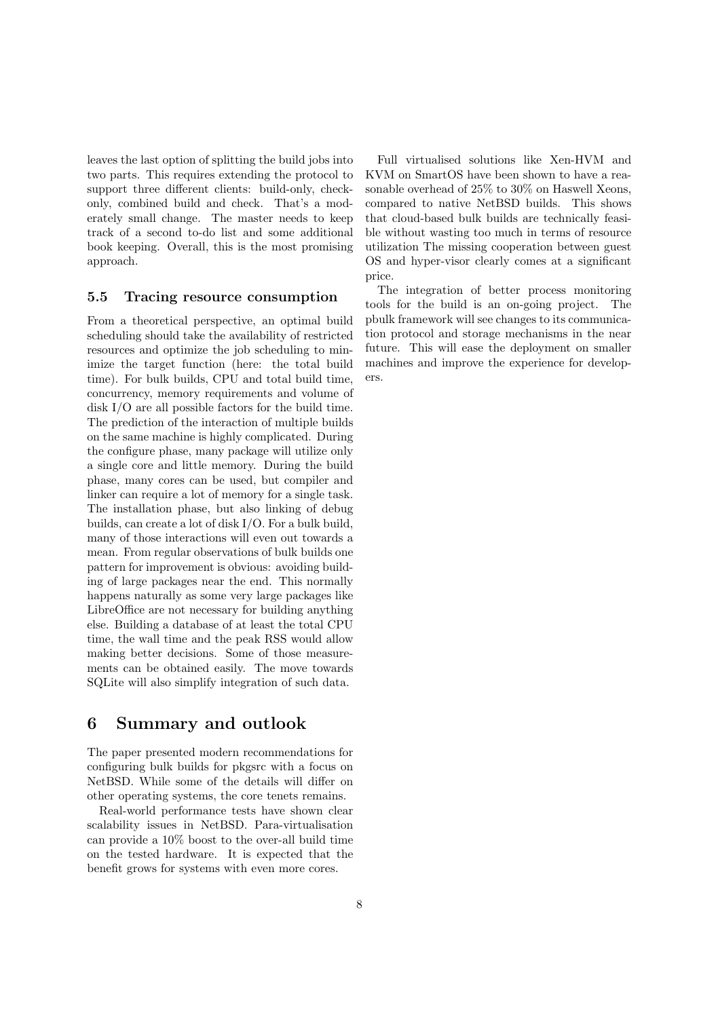leaves the last option of splitting the build jobs into two parts. This requires extending the protocol to support three different clients: build-only, checkonly, combined build and check. That's a moderately small change. The master needs to keep track of a second to-do list and some additional book keeping. Overall, this is the most promising approach.

#### **5.5 Tracing resource consumption**

From a theoretical perspective, an optimal build scheduling should take the availability of restricted resources and optimize the job scheduling to minimize the target function (here: the total build time). For bulk builds, CPU and total build time, concurrency, memory requirements and volume of disk I/O are all possible factors for the build time. The prediction of the interaction of multiple builds on the same machine is highly complicated. During the configure phase, many package will utilize only a single core and little memory. During the build phase, many cores can be used, but compiler and linker can require a lot of memory for a single task. The installation phase, but also linking of debug builds, can create a lot of disk I/O. For a bulk build, many of those interactions will even out towards a mean. From regular observations of bulk builds one pattern for improvement is obvious: avoiding building of large packages near the end. This normally happens naturally as some very large packages like LibreOffice are not necessary for building anything else. Building a database of at least the total CPU time, the wall time and the peak RSS would allow making better decisions. Some of those measurements can be obtained easily. The move towards SQLite will also simplify integration of such data.

## **6 Summary and outlook**

The paper presented modern recommendations for configuring bulk builds for pkgsrc with a focus on NetBSD. While some of the details will differ on other operating systems, the core tenets remains.

Real-world performance tests have shown clear scalability issues in NetBSD. Para-virtualisation can provide a 10% boost to the over-all build time on the tested hardware. It is expected that the benefit grows for systems with even more cores.

Full virtualised solutions like Xen-HVM and KVM on SmartOS have been shown to have a reasonable overhead of 25% to 30% on Haswell Xeons, compared to native NetBSD builds. This shows that cloud-based bulk builds are technically feasible without wasting too much in terms of resource utilization The missing cooperation between guest OS and hyper-visor clearly comes at a significant price.

The integration of better process monitoring tools for the build is an on-going project. The pbulk framework will see changes to its communication protocol and storage mechanisms in the near future. This will ease the deployment on smaller machines and improve the experience for developers.